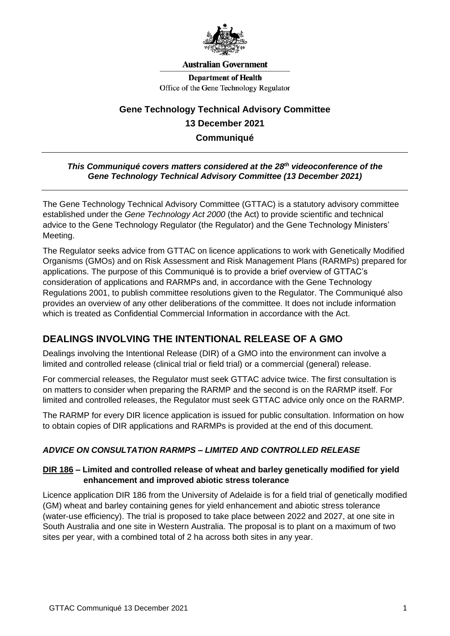

#### **Australian Government**

**Department of Health** Office of the Gene Technology Regulator

# **Gene Technology Technical Advisory Committee 13 December 2021 Communiqué**

#### *This Communiqué covers matters considered at the 28th videoconference of the Gene Technology Technical Advisory Committee (13 December 2021)*

The Gene Technology Technical Advisory Committee (GTTAC) is a statutory advisory committee established under the *Gene Technology Act 2000* (the Act) to provide scientific and technical advice to the Gene Technology Regulator (the Regulator) and the Gene Technology Ministers' Meeting.

The Regulator seeks advice from GTTAC on licence applications to work with Genetically Modified Organisms (GMOs) and on Risk Assessment and Risk Management Plans (RARMPs) prepared for applications. The purpose of this Communiqué is to provide a brief overview of GTTAC's consideration of applications and RARMPs and, in accordance with the Gene Technology Regulations 2001, to publish committee resolutions given to the Regulator. The Communiqué also provides an overview of any other deliberations of the committee. It does not include information which is treated as Confidential Commercial Information in accordance with the Act.

## **DEALINGS INVOLVING THE INTENTIONAL RELEASE OF A GMO**

Dealings involving the Intentional Release (DIR) of a GMO into the environment can involve a limited and controlled release (clinical trial or field trial) or a commercial (general) release.

For commercial releases, the Regulator must seek GTTAC advice twice. The first consultation is on matters to consider when preparing the RARMP and the second is on the RARMP itself. For limited and controlled releases, the Regulator must seek GTTAC advice only once on the RARMP.

The RARMP for every DIR licence application is issued for public consultation. Information on how to obtain copies of DIR applications and RARMPs is provided at the end of this document.

### *ADVICE ON CONSULTATION RARMPS – LIMITED AND CONTROLLED RELEASE*

#### **[DIR 186](https://www.ogtr.gov.au/gmo-dealings/dealings-involving-intentional-release/dir-186) – Limited and controlled release of wheat and barley genetically modified for yield enhancement and improved abiotic stress tolerance**

Licence application DIR 186 from the University of Adelaide is for a field trial of genetically modified (GM) wheat and barley containing genes for yield enhancement and abiotic stress tolerance (water-use efficiency). The trial is proposed to take place between 2022 and 2027, at one site in South Australia and one site in Western Australia. The proposal is to plant on a maximum of two sites per year, with a combined total of 2 ha across both sites in any year.